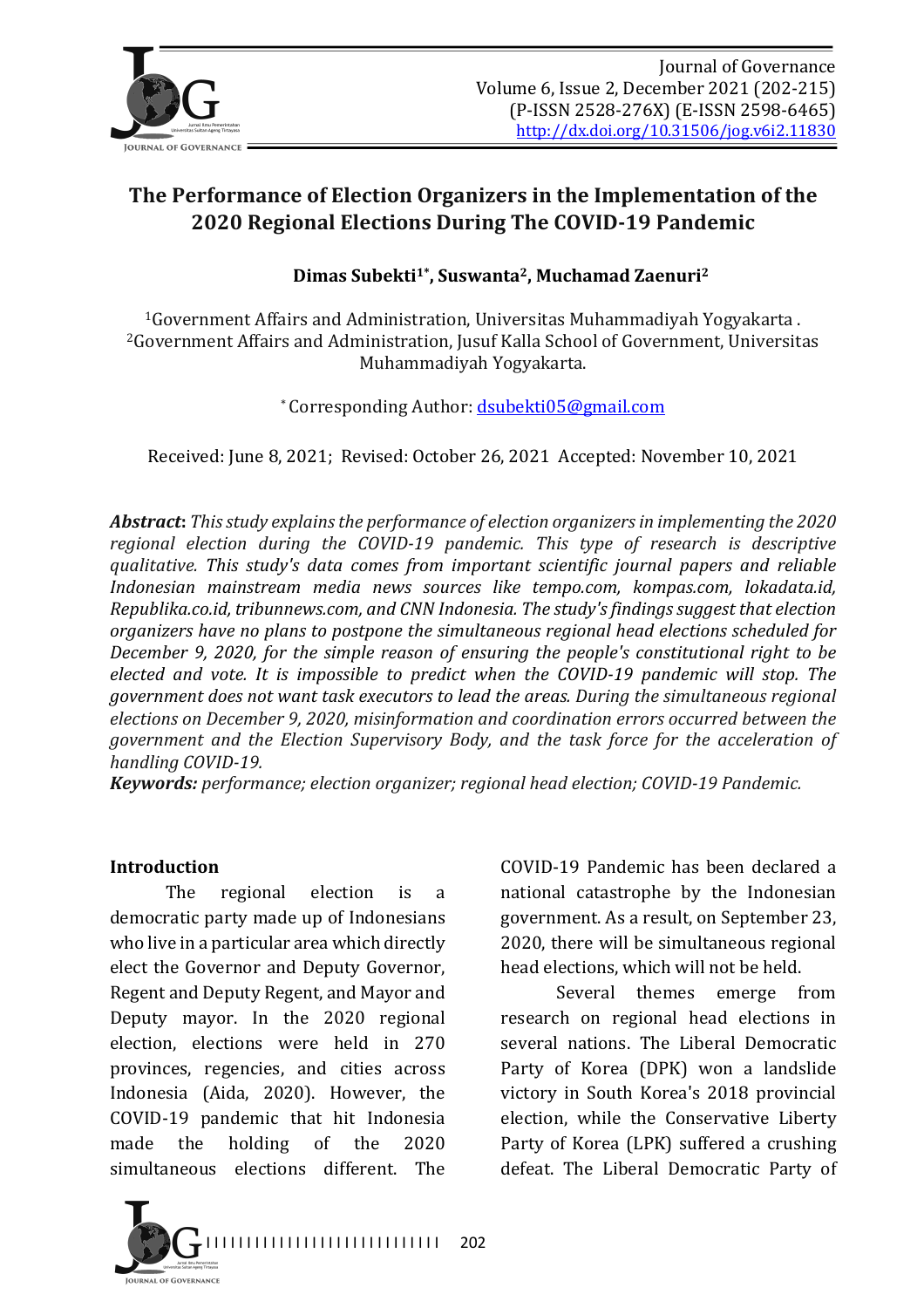

# The Performance of Election Organizers in the Implementation of the **2020 Regional Elections During The COVID-19 Pandemic**

Dimas Subekti<sup>1\*</sup>, Suswanta<sup>2</sup>, Muchamad Zaenuri<sup>2</sup>

 $16$  overnment Affairs and Administration, Universitas Muhammadivah Yogyakarta . <sup>2</sup>Government Affairs and Administration, Jusuf Kalla School of Government, Universitas Muhammadiyah Yogyakarta.

\* Corresponding Author: dsubekti05@gmail.com

Received: June 8, 2021; Revised: October 26, 2021 Accepted: November 10, 2021

**Abstract**: This study explains the performance of election organizers in implementing the 2020 regional election during the COVID-19 pandemic. This type of research is descriptive *qualitative. This study's data comes from important scientific journal papers and reliable Indonesian mainstream media news sources like tempo.com, kompas.com, lokadata.id, Republika.co.id, tribunnews.com, and CNN Indonesia. The study's findings suggest that election* organizers have no plans to postpone the simultaneous regional head elections scheduled for *December 9, 2020, for the simple reason of ensuring the people's constitutional right to be elected and vote. It is impossible to predict when the COVID-19 pandemic will stop. The government does not want task executors to lead the areas. During the simultaneous regional* elections on December 9, 2020, misinformation and coordination errors occurred between the *government and the Election Supervisory Body, and the task force for the acceleration of* handling COVID-19.

*Keywords: performance; election organizer; regional head election; COVID-19 Pandemic.* 

#### **Introduction**

The regional election is a democratic party made up of Indonesians who live in a particular area which directly elect the Governor and Deputy Governor, Regent and Deputy Regent, and Mayor and Deputy mayor. In the 2020 regional election, elections were held in 270 provinces, regencies, and cities across Indonesia (Aida, 2020). However, the COVID-19 pandemic that hit Indonesia made the holding of the 2020 simultaneous elections different. The



COVID-19 Pandemic has been declared a national catastrophe by the Indonesian government. As a result, on September 23, 2020, there will be simultaneous regional head elections, which will not be held.

Several themes emerge from research on regional head elections in several nations. The Liberal Democratic Party of Korea (DPK) won a landslide victory in South Korea's 2018 provincial election, while the Conservative Liberty Party of Korea (LPK) suffered a crushing defeat. The Liberal Democratic Party of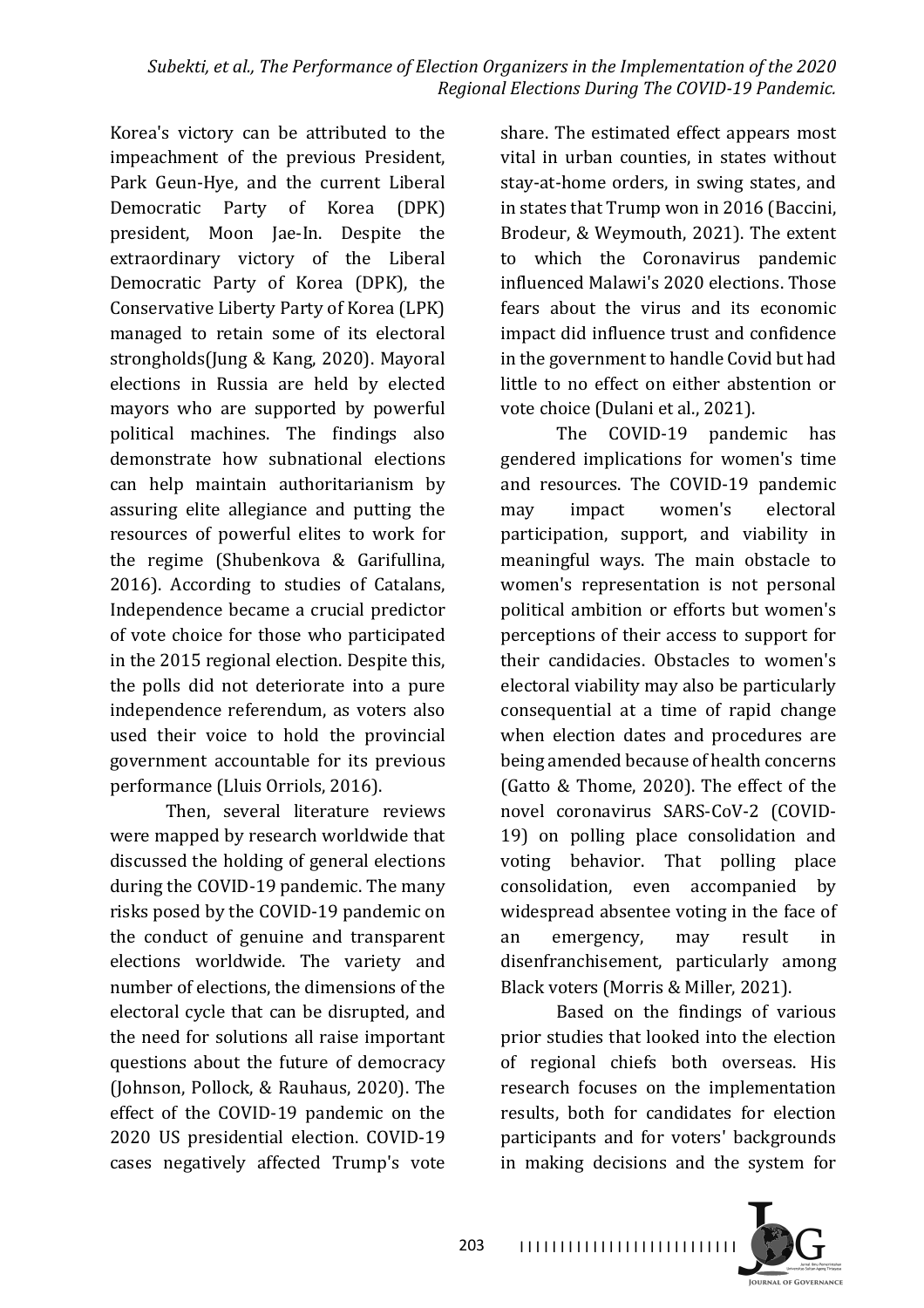Korea's victory can be attributed to the impeachment of the previous President, Park Geun-Hye, and the current Liberal Democratic Party of Korea (DPK) president, Moon Jae-In. Despite the extraordinary victory of the Liberal Democratic Party of Korea (DPK), the Conservative Liberty Party of Korea (LPK) managed to retain some of its electoral strongholds(Jung & Kang, 2020). Mayoral elections in Russia are held by elected mayors who are supported by powerful political machines. The findings also demonstrate how subnational elections can help maintain authoritarianism by assuring elite allegiance and putting the resources of powerful elites to work for the regime (Shubenkova & Garifullina, 2016). According to studies of Catalans, Independence became a crucial predictor of vote choice for those who participated in the 2015 regional election. Despite this, the polls did not deteriorate into a pure independence referendum, as voters also used their voice to hold the provincial government accountable for its previous performance (Lluis Orriols, 2016).

Then, several literature reviews were mapped by research worldwide that discussed the holding of general elections during the COVID-19 pandemic. The many risks posed by the COVID-19 pandemic on the conduct of genuine and transparent elections worldwide. The variety and number of elections, the dimensions of the electoral cycle that can be disrupted, and the need for solutions all raise important questions about the future of democracy (Johnson, Pollock, & Rauhaus, 2020). The effect of the COVID-19 pandemic on the 2020 US presidential election. COVID-19 cases negatively affected Trump's vote 

share. The estimated effect appears most vital in urban counties, in states without stay-at-home orders, in swing states, and in states that Trump won in 2016 (Baccini, Brodeur, & Weymouth, 2021). The extent to which the Coronavirus pandemic influenced Malawi's 2020 elections. Those fears about the virus and its economic impact did influence trust and confidence in the government to handle Covid but had little to no effect on either abstention or vote choice (Dulani et al., 2021).

The COVID-19 pandemic has gendered implications for women's time and resources. The COVID-19 pandemic may impact women's electoral participation, support, and viability in meaningful ways. The main obstacle to women's representation is not personal political ambition or efforts but women's perceptions of their access to support for their candidacies. Obstacles to women's electoral viability may also be particularly consequential at a time of rapid change when election dates and procedures are being amended because of health concerns (Gatto & Thome, 2020). The effect of the novel coronavirus SARS-CoV-2 (COVID-19) on polling place consolidation and voting behavior. That polling place consolidation, even accompanied by widespread absentee voting in the face of an emergency, may result in disenfranchisement, particularly among Black voters (Morris & Miller, 2021).

Based on the findings of various prior studies that looked into the election of regional chiefs both overseas. His research focuses on the implementation results, both for candidates for election participants and for voters' backgrounds in making decisions and the system for



I I I I I I I I I I I I I I I I I I I I I I I I I I I 203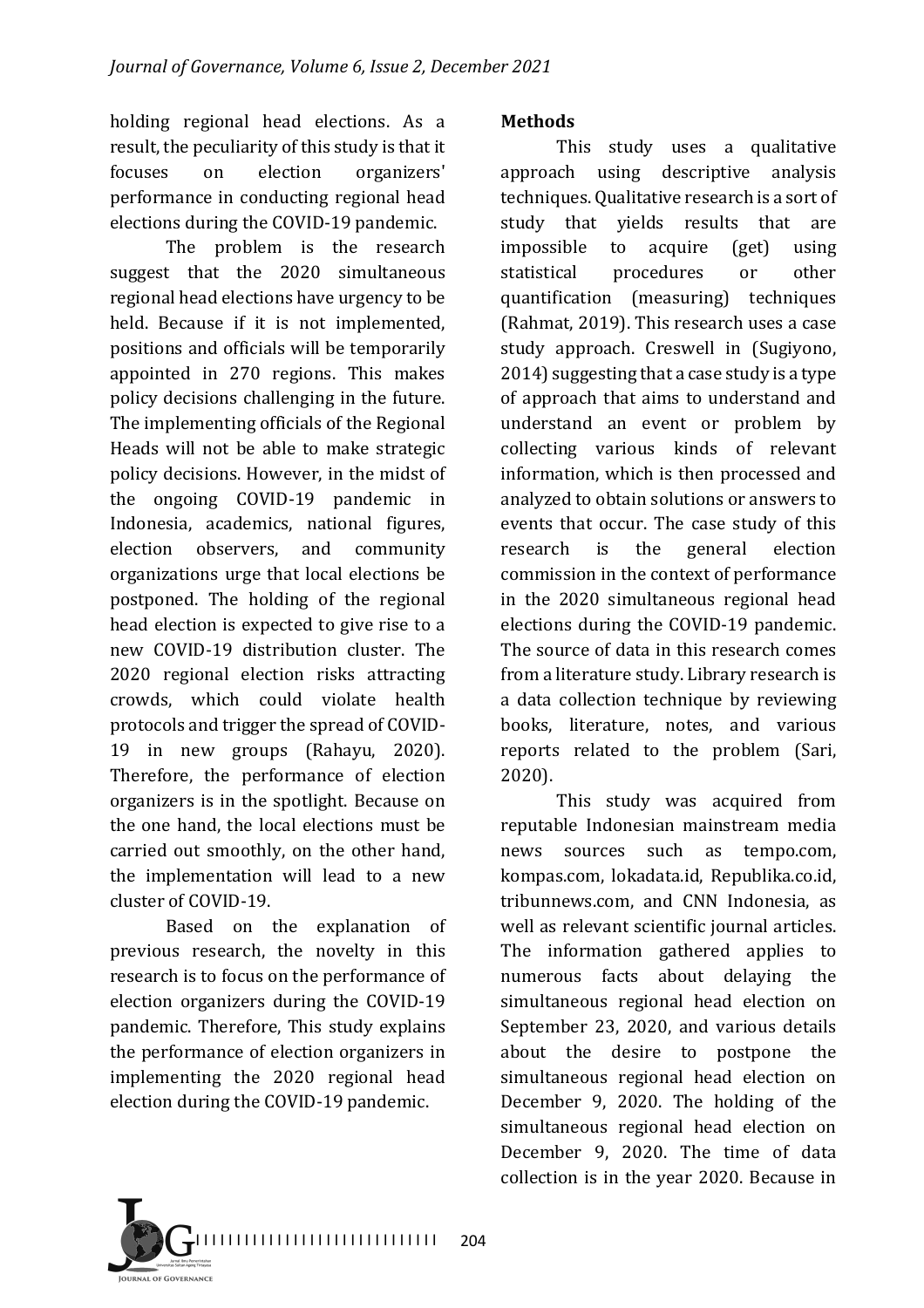holding regional head elections. As a result, the peculiarity of this study is that it focuses on election organizers' performance in conducting regional head elections during the COVID-19 pandemic.

The problem is the research suggest that the 2020 simultaneous regional head elections have urgency to be held. Because if it is not implemented, positions and officials will be temporarily appointed in 270 regions. This makes policy decisions challenging in the future. The implementing officials of the Regional Heads will not be able to make strategic policy decisions. However, in the midst of the ongoing COVID-19 pandemic in Indonesia, academics, national figures, election observers, and community organizations urge that local elections be postponed. The holding of the regional head election is expected to give rise to a new COVID-19 distribution cluster. The 2020 regional election risks attracting crowds, which could violate health protocols and trigger the spread of COVID-19 in new groups (Rahayu, 2020). Therefore, the performance of election organizers is in the spotlight. Because on the one hand, the local elections must be carried out smoothly, on the other hand, the implementation will lead to a new cluster of COVID-19.

Based on the explanation of previous research, the novelty in this research is to focus on the performance of election organizers during the COVID-19 pandemic. Therefore, This study explains the performance of election organizers in implementing the 2020 regional head election during the COVID-19 pandemic.

### **Methods**

This study uses a qualitative approach using descriptive analysis techniques. Qualitative research is a sort of study that yields results that are impossible to acquire (get) using statistical procedures or other quantification (measuring) techniques (Rahmat, 2019). This research uses a case study approach. Creswell in (Sugiyono,  $2014$ ) suggesting that a case study is a type of approach that aims to understand and understand an event or problem by collecting various kinds of relevant information, which is then processed and analyzed to obtain solutions or answers to events that occur. The case study of this research is the general election commission in the context of performance in the 2020 simultaneous regional head elections during the COVID-19 pandemic. The source of data in this research comes from a literature study. Library research is a data collection technique by reviewing books, literature, notes, and various reports related to the problem (Sari, 2020). 

This study was acquired from reputable Indonesian mainstream media news sources such as tempo.com, kompas.com, lokadata.id, Republika.co.id, tribunnews.com, and CNN Indonesia, as well as relevant scientific journal articles. The information gathered applies to numerous facts about delaying the simultaneous regional head election on September 23, 2020, and various details about the desire to postpone the simultaneous regional head election on December 9, 2020. The holding of the simultaneous regional head election on December 9, 2020. The time of data collection is in the year 2020. Because in

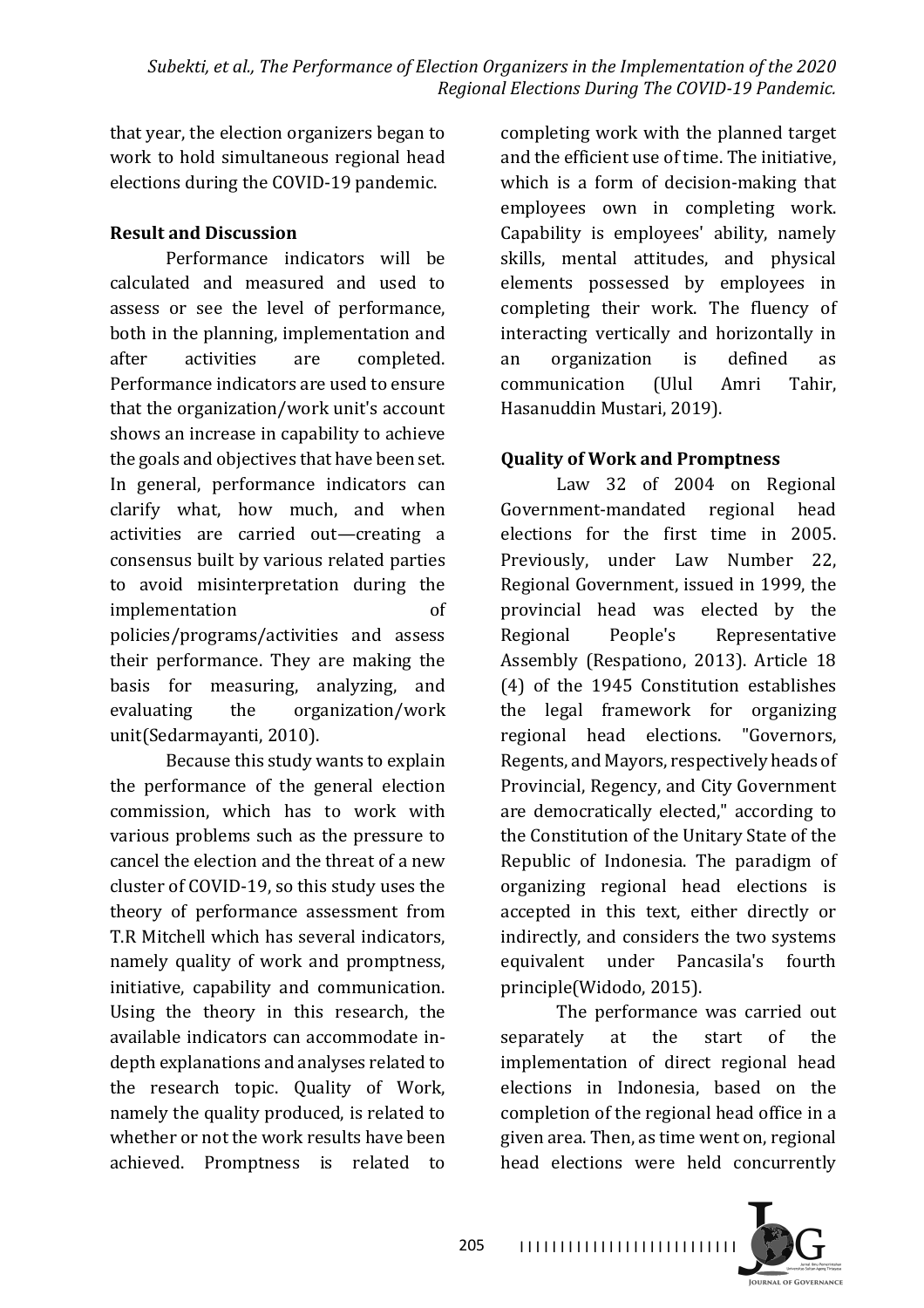that year, the election organizers began to work to hold simultaneous regional head elections during the COVID-19 pandemic.

### **Result and Discussion**

Performance indicators will be calculated and measured and used to assess or see the level of performance, both in the planning, implementation and after activities are completed. Performance indicators are used to ensure that the organization/work unit's account shows an increase in capability to achieve the goals and objectives that have been set. In general, performance indicators can clarify what, how much, and when activities are carried out—creating a consensus built by various related parties to avoid misinterpretation during the implementation of policies/programs/activities and assess their performance. They are making the basis for measuring, analyzing, and evaluating the organization/work unit(Sedarmayanti, 2010).

Because this study wants to explain the performance of the general election commission, which has to work with various problems such as the pressure to cancel the election and the threat of a new cluster of COVID-19, so this study uses the theory of performance assessment from T.R Mitchell which has several indicators, namely quality of work and promptness, initiative, capability and communication. Using the theory in this research, the available indicators can accommodate indepth explanations and analyses related to the research topic. Quality of Work, namely the quality produced, is related to whether or not the work results have been achieved. Promptness is related to 

completing work with the planned target and the efficient use of time. The initiative, which is a form of decision-making that employees own in completing work. Capability is employees' ability, namely skills, mental attitudes, and physical elements possessed by employees in completing their work. The fluency of interacting vertically and horizontally in an organization is defined as communication (Ulul Amri Tahir, Hasanuddin Mustari, 2019).

# **Quality of Work and Promptness**

Law 32 of 2004 on Regional Government-mandated regional head elections for the first time in 2005. Previously, under Law Number 22, Regional Government, issued in 1999, the provincial head was elected by the Regional People's Representative Assembly (Respationo, 2013). Article 18 (4) of the 1945 Constitution establishes the legal framework for organizing regional head elections. "Governors, Regents, and Mayors, respectively heads of Provincial, Regency, and City Government are democratically elected," according to the Constitution of the Unitary State of the Republic of Indonesia. The paradigm of organizing regional head elections is accepted in this text, either directly or indirectly, and considers the two systems equivalent under Pancasila's fourth principle(Widodo, 2015).

The performance was carried out separately at the start of the implementation of direct regional head elections in Indonesia, based on the completion of the regional head office in a given area. Then, as time went on, regional head elections were held concurrently

JOURNAL OF GOVERNANCE

I I I I I I I I I I I I I I I I I I I I I I I I I I I 205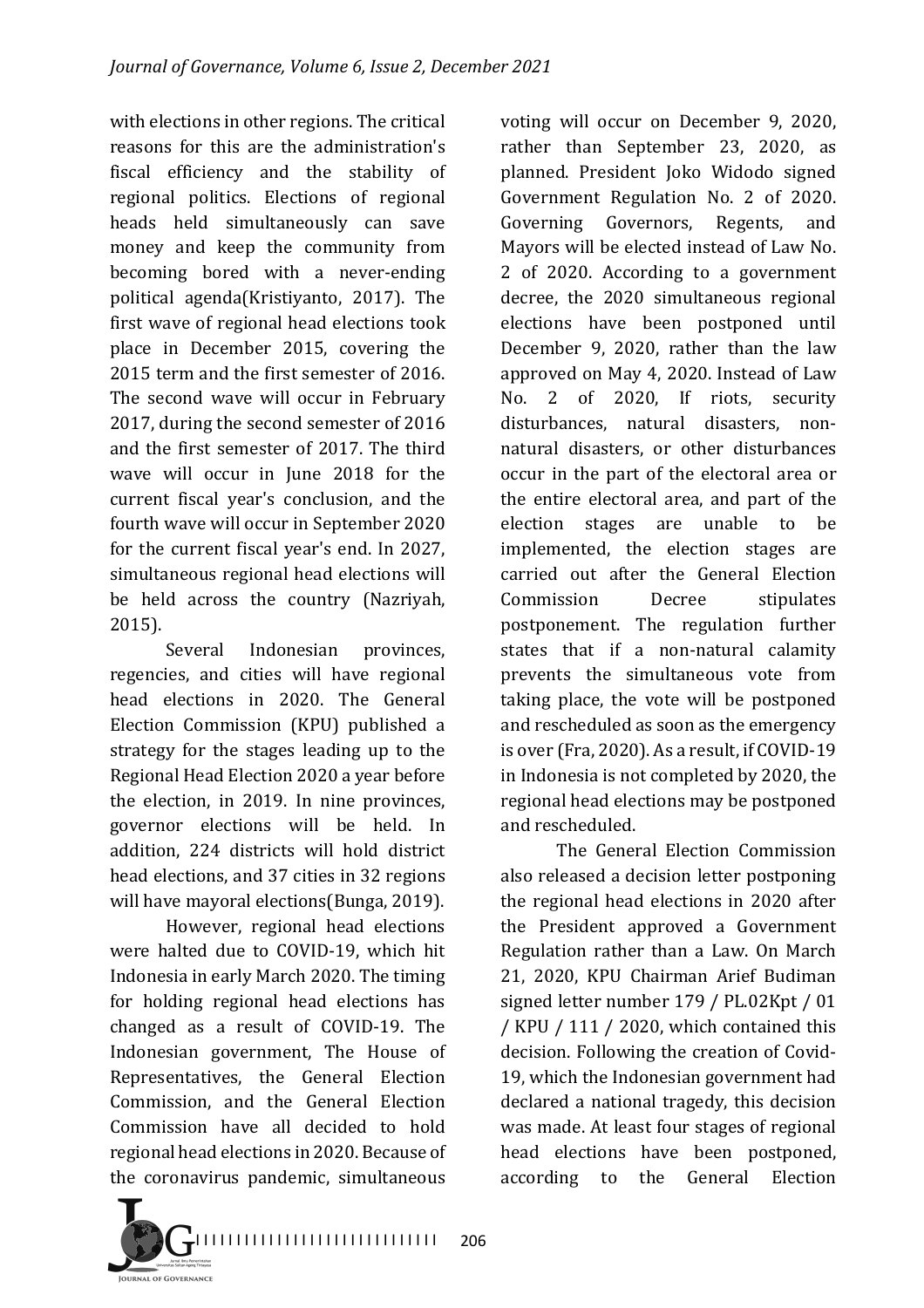with elections in other regions. The critical reasons for this are the administration's fiscal efficiency and the stability of regional politics. Elections of regional heads held simultaneously can save money and keep the community from becoming bored with a never-ending political agenda(Kristiyanto, 2017). The first wave of regional head elections took place in December 2015, covering the 2015 term and the first semester of 2016. The second wave will occur in February 2017, during the second semester of 2016 and the first semester of 2017. The third wave will occur in June 2018 for the current fiscal year's conclusion, and the fourth wave will occur in September 2020 for the current fiscal year's end. In 2027, simultaneous regional head elections will be held across the country (Nazriyah, 2015). 

Several Indonesian provinces, regencies, and cities will have regional head elections in 2020. The General Election Commission (KPU) published a strategy for the stages leading up to the Regional Head Election 2020 a year before the election, in 2019. In nine provinces, governor elections will be held. In addition, 224 districts will hold district head elections, and 37 cities in 32 regions will have mayoral elections(Bunga, 2019).

However, regional head elections were halted due to COVID-19, which hit Indonesia in early March 2020. The timing for holding regional head elections has changed as a result of COVID-19. The Indonesian government, The House of Representatives, the General Election Commission, and the General Election Commission have all decided to hold regional head elections in 2020. Because of the coronavirus pandemic, simultaneous

voting will occur on December 9, 2020, rather than September 23, 2020, as planned. President Joko Widodo signed Government Regulation No. 2 of 2020. Governing Governors, Regents, and Mayors will be elected instead of Law No. 2 of 2020. According to a government decree, the 2020 simultaneous regional elections have been postponed until December 9, 2020, rather than the law approved on May 4, 2020. Instead of Law No. 2 of 2020, If riots, security disturbances, natural disasters, nonnatural disasters, or other disturbances occur in the part of the electoral area or the entire electoral area, and part of the election stages are unable to be implemented, the election stages are carried out after the General Election Commission Decree stipulates postponement. The regulation further states that if a non-natural calamity prevents the simultaneous vote from taking place, the vote will be postponed and rescheduled as soon as the emergency is over (Fra, 2020). As a result, if COVID-19 in Indonesia is not completed by 2020, the regional head elections may be postponed and rescheduled.

The General Election Commission also released a decision letter postponing the regional head elections in 2020 after the President approved a Government Regulation rather than a Law. On March 21, 2020, KPU Chairman Arief Budiman signed letter number 179 / PL.02Kpt / 01 / KPU / 111 / 2020, which contained this decision. Following the creation of Covid-19, which the Indonesian government had declared a national tragedy, this decision was made. At least four stages of regional head elections have been postponed, according to the General Election 

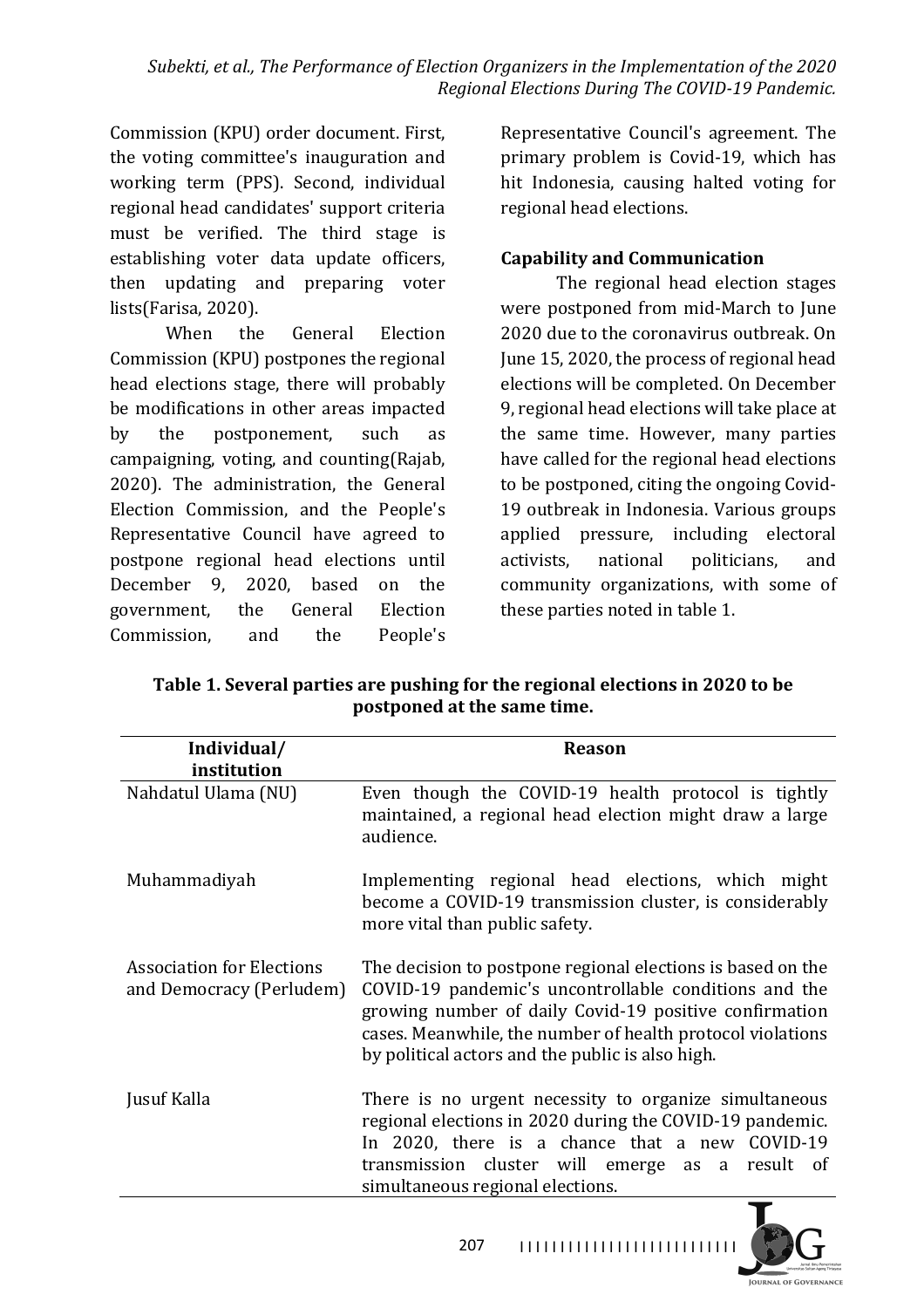Commission (KPU) order document. First, the voting committee's inauguration and working term (PPS). Second, individual regional head candidates' support criteria must be verified. The third stage is establishing voter data update officers, then updating and preparing voter lists(Farisa, 2020).

When the General Election Commission (KPU) postpones the regional head elections stage, there will probably be modifications in other areas impacted by the postponement, such as campaigning, voting, and counting(Rajab, 2020). The administration, the General Election Commission, and the People's Representative Council have agreed to postpone regional head elections until December 9, 2020, based on the government, the General Election Commission, and the People's

Representative Council's agreement. The primary problem is Covid-19, which has hit Indonesia, causing halted voting for regional head elections.

### **Capability and Communication**

The regional head election stages were postponed from mid-March to June 2020 due to the coronavirus outbreak. On June 15, 2020, the process of regional head elections will be completed. On December 9, regional head elections will take place at the same time. However, many parties have called for the regional head elections to be postponed, citing the ongoing Covid-19 outbreak in Indonesia. Various groups applied pressure, including electoral activists, national politicians, and community organizations, with some of these parties noted in table 1.

**Table 1. Several parties are pushing for the regional elections in 2020 to be postponed at the same time.** 

| Individual/<br>institution                                   | <b>Reason</b>                                                                                                                                                                                                                                                                                    |
|--------------------------------------------------------------|--------------------------------------------------------------------------------------------------------------------------------------------------------------------------------------------------------------------------------------------------------------------------------------------------|
| Nahdatul Ulama (NU)                                          | Even though the COVID-19 health protocol is tightly<br>maintained, a regional head election might draw a large<br>audience.                                                                                                                                                                      |
| Muhammadiyah                                                 | Implementing regional head elections, which might<br>become a COVID-19 transmission cluster, is considerably<br>more vital than public safety.                                                                                                                                                   |
| <b>Association for Elections</b><br>and Democracy (Perludem) | The decision to postpone regional elections is based on the<br>COVID-19 pandemic's uncontrollable conditions and the<br>growing number of daily Covid-19 positive confirmation<br>cases. Meanwhile, the number of health protocol violations<br>by political actors and the public is also high. |
| Jusuf Kalla                                                  | There is no urgent necessity to organize simultaneous<br>regional elections in 2020 during the COVID-19 pandemic.<br>In 2020, there is a chance that a new COVID-19<br>transmission cluster will emerge as a result of<br>simultaneous regional elections.                                       |

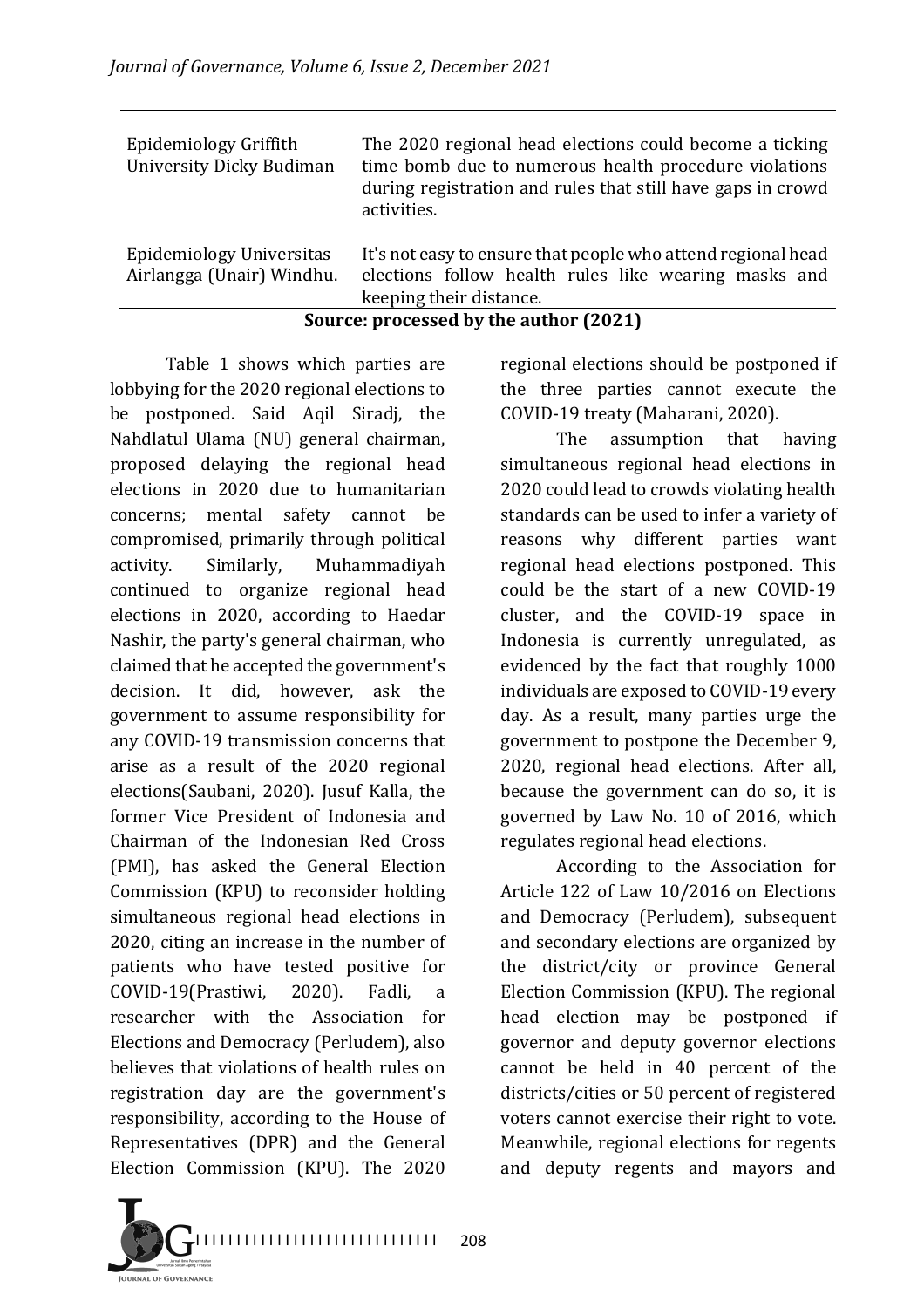|                                                          | $\mathbf{r}$ , $\mathbf{r}$ , $\mathbf{r}$ , $\mathbf{r}$ , $\mathbf{r}$ , $\mathbf{r}$ , $\mathbf{r}$<br>10.001                                                                               |
|----------------------------------------------------------|------------------------------------------------------------------------------------------------------------------------------------------------------------------------------------------------|
| Epidemiology Universitas<br>Airlangga (Unair) Windhu.    | It's not easy to ensure that people who attend regional head<br>elections follow health rules like wearing masks and<br>keeping their distance.                                                |
|                                                          |                                                                                                                                                                                                |
| Epidemiology Griffith<br><b>University Dicky Budiman</b> | The 2020 regional head elections could become a ticking<br>time bomb due to numerous health procedure violations<br>during registration and rules that still have gaps in crowd<br>activities. |
|                                                          |                                                                                                                                                                                                |

#### **Source: processed by the author (2021)**

Table 1 shows which parties are lobbying for the 2020 regional elections to be postponed. Said Aqil Siradj, the Nahdlatul Ulama (NU) general chairman, proposed delaying the regional head elections in 2020 due to humanitarian concerns; mental safety cannot be compromised, primarily through political activity. Similarly, Muhammadiyah continued to organize regional head elections in 2020, according to Haedar Nashir, the party's general chairman, who claimed that he accepted the government's decision. It did, however, ask the government to assume responsibility for any COVID-19 transmission concerns that arise as a result of the 2020 regional elections(Saubani, 2020). Jusuf Kalla, the former Vice President of Indonesia and Chairman of the Indonesian Red Cross (PMI), has asked the General Election Commission (KPU) to reconsider holding simultaneous regional head elections in 2020, citing an increase in the number of patients who have tested positive for COVID-19(Prastiwi, 2020). Fadli, a researcher with the Association for Elections and Democracy (Perludem), also believes that violations of health rules on registration day are the government's responsibility, according to the House of Representatives (DPR) and the General Election Commission (KPU). The 2020 regional elections should be postponed if the three parties cannot execute the COVID-19 treaty (Maharani, 2020).

The assumption that having simultaneous regional head elections in 2020 could lead to crowds violating health standards can be used to infer a variety of reasons why different parties want regional head elections postponed. This could be the start of a new COVID-19 cluster, and the COVID-19 space in Indonesia is currently unregulated, as evidenced by the fact that roughly 1000 individuals are exposed to COVID-19 every day. As a result, many parties urge the government to postpone the December 9. 2020, regional head elections. After all, because the government can do so, it is governed by Law No. 10 of 2016, which regulates regional head elections.

According to the Association for Article 122 of Law 10/2016 on Elections and Democracy (Perludem), subsequent and secondary elections are organized by the district/city or province General Election Commission (KPU). The regional head election may be postponed if governor and deputy governor elections cannot be held in 40 percent of the districts/cities or 50 percent of registered voters cannot exercise their right to vote. Meanwhile, regional elections for regents and deputy regents and mayors and 

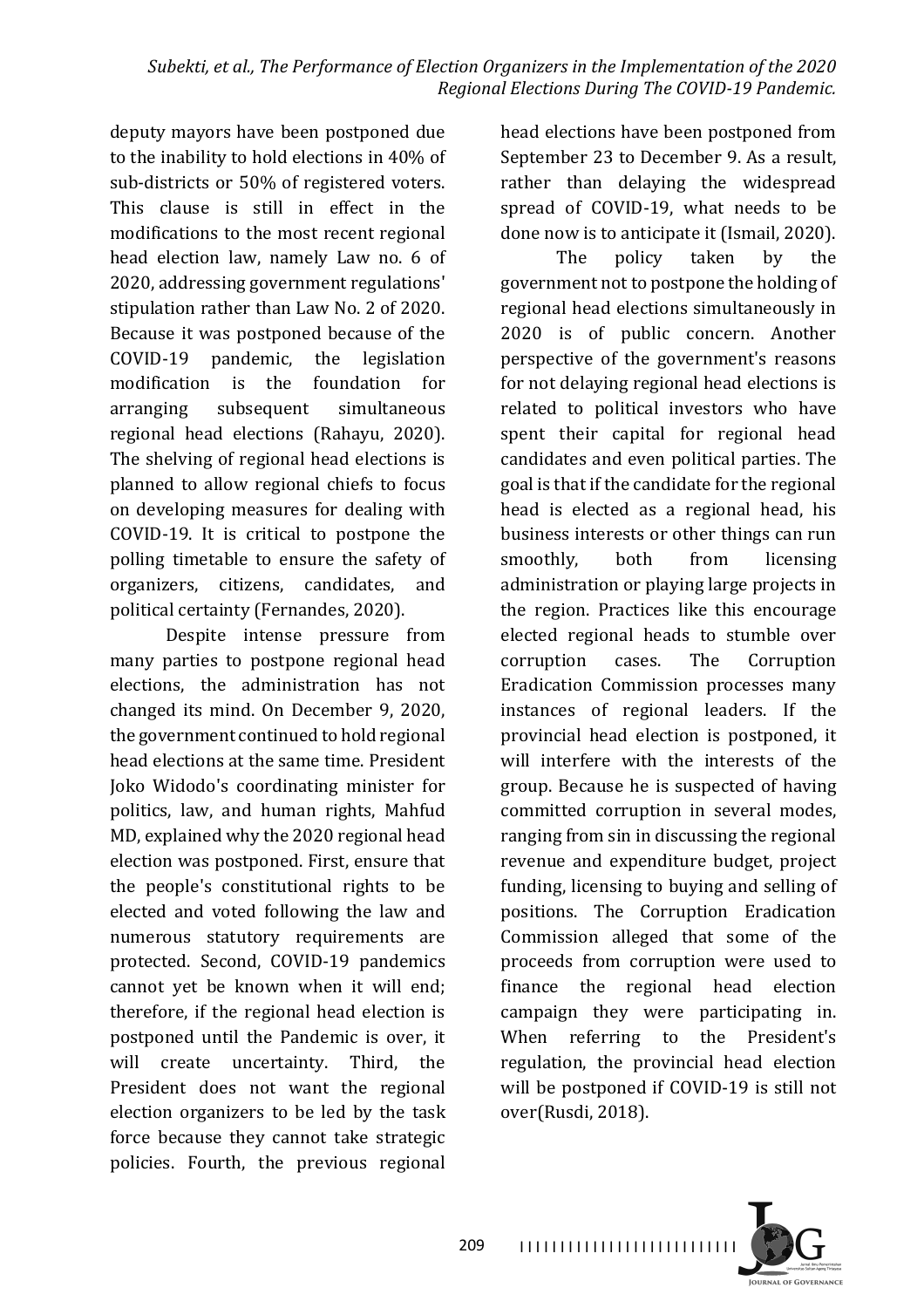deputy mayors have been postponed due to the inability to hold elections in 40% of sub-districts or 50% of registered voters. This clause is still in effect in the modifications to the most recent regional head election law, namely Law no. 6 of 2020, addressing government regulations' stipulation rather than Law No. 2 of 2020. Because it was postponed because of the COVID-19 pandemic, the legislation modification is the foundation for arranging subsequent simultaneous regional head elections (Rahayu, 2020). The shelving of regional head elections is planned to allow regional chiefs to focus on developing measures for dealing with COVID-19. It is critical to postpone the polling timetable to ensure the safety of organizers, citizens, candidates, and political certainty (Fernandes, 2020).

Despite intense pressure from many parties to postpone regional head elections, the administration has not changed its mind. On December 9, 2020, the government continued to hold regional head elections at the same time. President Joko Widodo's coordinating minister for politics, law, and human rights, Mahfud MD, explained why the 2020 regional head election was postponed. First, ensure that the people's constitutional rights to be elected and voted following the law and numerous statutory requirements are protected. Second, COVID-19 pandemics cannot yet be known when it will end; therefore, if the regional head election is postponed until the Pandemic is over, it will create uncertainty. Third, the President does not want the regional election organizers to be led by the task force because they cannot take strategic policies. Fourth, the previous regional head elections have been postponed from September 23 to December 9. As a result, rather than delaying the widespread spread of COVID-19, what needs to be done now is to anticipate it (Ismail, 2020).

The policy taken by the government not to postpone the holding of regional head elections simultaneously in 2020 is of public concern. Another perspective of the government's reasons for not delaying regional head elections is related to political investors who have spent their capital for regional head candidates and even political parties. The goal is that if the candidate for the regional head is elected as a regional head, his business interests or other things can run smoothly, both from licensing administration or playing large projects in the region. Practices like this encourage elected regional heads to stumble over corruption cases. The Corruption Eradication Commission processes many instances of regional leaders. If the provincial head election is postponed, it will interfere with the interests of the group. Because he is suspected of having committed corruption in several modes, ranging from sin in discussing the regional revenue and expenditure budget, project funding, licensing to buying and selling of positions. The Corruption Eradication Commission alleged that some of the proceeds from corruption were used to finance the regional head election campaign they were participating in. When referring to the President's regulation, the provincial head election will be postponed if COVID-19 is still not over(Rusdi, 2018).



I I I I I I I I I I I I I I I I I I I I I I I I I I I 209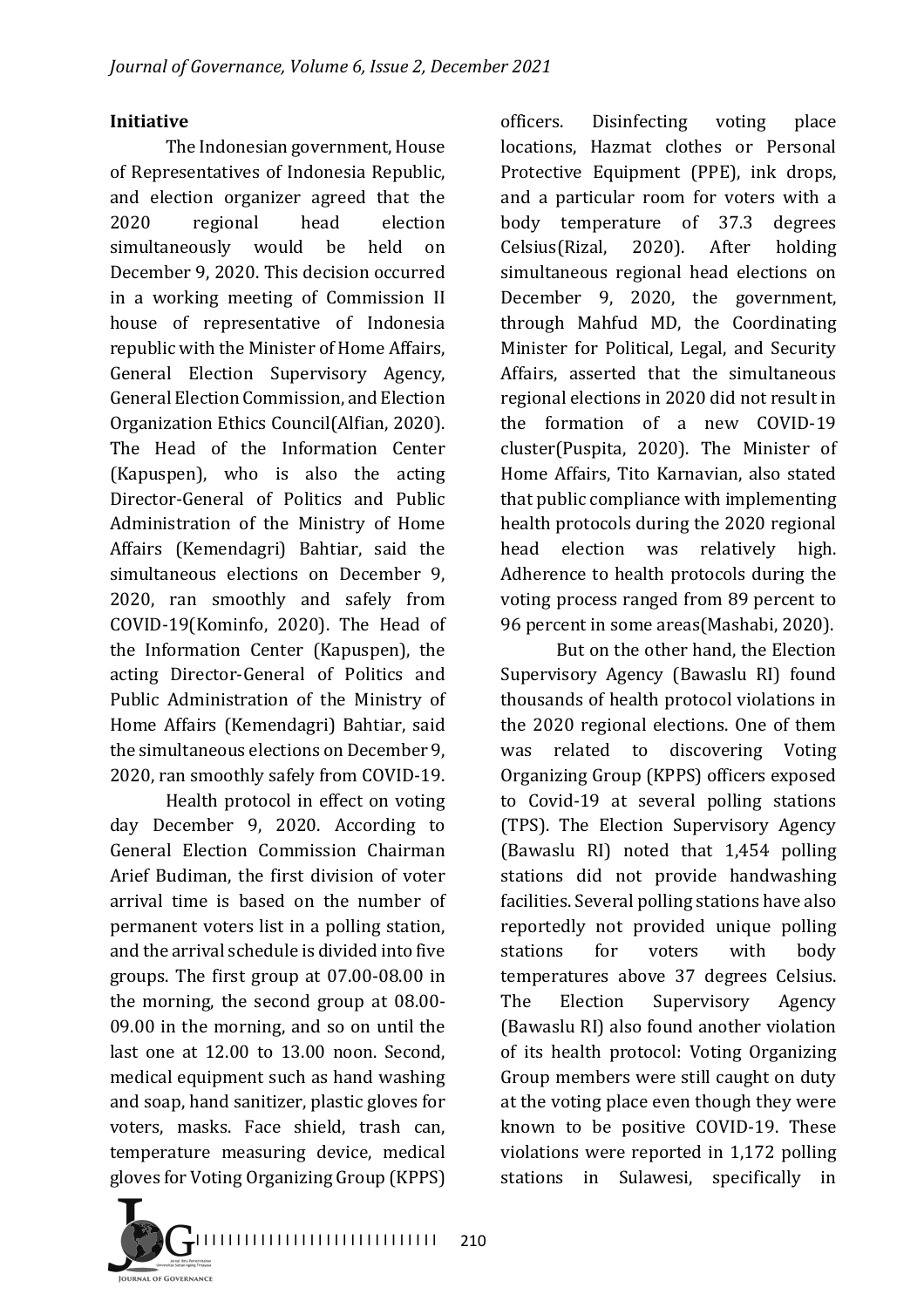### **Initiative**

The Indonesian government, House of Representatives of Indonesia Republic, and election organizer agreed that the 2020 regional head election simultaneously would be held on December 9, 2020. This decision occurred in a working meeting of Commission II house of representative of Indonesia republic with the Minister of Home Affairs, General Election Supervisory Agency, General Election Commission, and Election Organization Ethics Council(Alfian, 2020). The Head of the Information Center (Kapuspen), who is also the acting Director-General of Politics and Public Administration of the Ministry of Home Affairs (Kemendagri) Bahtiar, said the simultaneous elections on December 9, 2020, ran smoothly and safely from COVID-19(Kominfo, 2020). The Head of the Information Center (Kapuspen), the acting Director-General of Politics and Public Administration of the Ministry of Home Affairs (Kemendagri) Bahtiar, said the simultaneous elections on December 9. 2020, ran smoothly safely from COVID-19.

Health protocol in effect on voting day December 9, 2020. According to General Election Commission Chairman Arief Budiman, the first division of voter arrival time is based on the number of permanent voters list in a polling station, and the arrival schedule is divided into five groups. The first group at  $07.00$ -08.00 in the morning, the second group at  $08.00$ -09.00 in the morning, and so on until the last one at  $12.00$  to  $13.00$  noon. Second, medical equipment such as hand washing and soap, hand sanitizer, plastic gloves for voters, masks. Face shield, trash can, temperature measuring device, medical gloves for Voting Organizing Group (KPPS)

officers. Disinfecting voting place locations, Hazmat clothes or Personal Protective Equipment (PPE), ink drops, and a particular room for voters with a body temperature of 37.3 degrees Celsius(Rizal, 2020). After holding simultaneous regional head elections on December 9, 2020, the government, through Mahfud MD, the Coordinating Minister for Political, Legal, and Security Affairs, asserted that the simultaneous regional elections in 2020 did not result in the formation of a new COVID-19 cluster(Puspita, 2020). The Minister of Home Affairs, Tito Karnavian, also stated that public compliance with implementing health protocols during the 2020 regional head election was relatively high. Adherence to health protocols during the voting process ranged from 89 percent to 96 percent in some areas(Mashabi, 2020).

But on the other hand, the Election Supervisory Agency (Bawaslu RI) found thousands of health protocol violations in the 2020 regional elections. One of them was related to discovering Voting Organizing Group (KPPS) officers exposed to Covid-19 at several polling stations (TPS). The Election Supervisory Agency (Bawaslu RI) noted that 1,454 polling stations did not provide handwashing facilities. Several polling stations have also reportedly not provided unique polling stations for voters with body temperatures above 37 degrees Celsius. The Election Supervisory Agency (Bawaslu RI) also found another violation of its health protocol: Voting Organizing Group members were still caught on duty at the voting place even though they were known to be positive COVID-19. These violations were reported in 1,172 polling stations in Sulawesi, specifically in

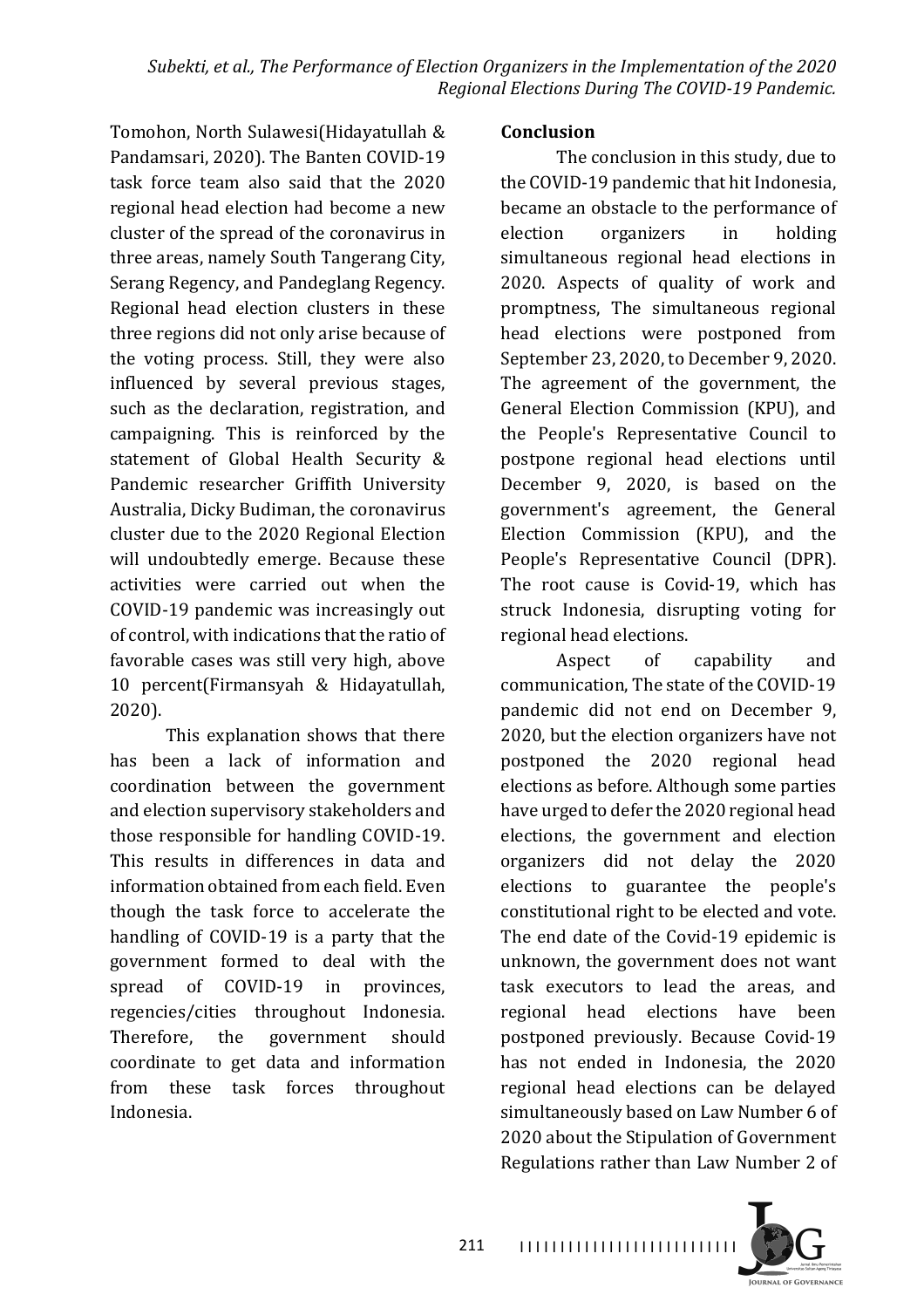Tomohon, North Sulawesi(Hidayatullah & Pandamsari, 2020). The Banten COVID-19 task force team also said that the 2020 regional head election had become a new cluster of the spread of the coronavirus in three areas, namely South Tangerang City, Serang Regency, and Pandeglang Regency. Regional head election clusters in these three regions did not only arise because of the voting process. Still, they were also influenced by several previous stages, such as the declaration, registration, and campaigning. This is reinforced by the statement of Global Health Security & Pandemic researcher Griffith University Australia, Dicky Budiman, the coronavirus cluster due to the 2020 Regional Election will undoubtedly emerge. Because these activities were carried out when the COVID-19 pandemic was increasingly out of control, with indications that the ratio of favorable cases was still very high, above 10 percent(Firmansyah & Hidayatullah, 2020).

This explanation shows that there has been a lack of information and coordination between the government and election supervisory stakeholders and those responsible for handling COVID-19. This results in differences in data and information obtained from each field. Even though the task force to accelerate the handling of COVID-19 is a party that the government formed to deal with the spread of COVID-19 in provinces, regencies/cities throughout Indonesia. Therefore, the government should coordinate to get data and information from these task forces throughout Indonesia.

### **Conclusion**

The conclusion in this study, due to the COVID-19 pandemic that hit Indonesia, became an obstacle to the performance of election organizers in holding simultaneous regional head elections in 2020. Aspects of quality of work and promptness, The simultaneous regional head elections were postponed from September 23, 2020, to December 9, 2020. The agreement of the government, the General Election Commission (KPU), and the People's Representative Council to postpone regional head elections until December 9, 2020, is based on the government's agreement, the General Election Commission (KPU), and the People's Representative Council (DPR). The root cause is Covid-19, which has struck Indonesia, disrupting voting for regional head elections.

Aspect of capability and communication. The state of the COVID-19 pandemic did not end on December 9. 2020, but the election organizers have not postponed the 2020 regional head elections as before. Although some parties have urged to defer the 2020 regional head elections, the government and election organizers did not delay the 2020 elections to guarantee the people's constitutional right to be elected and vote. The end date of the Covid-19 epidemic is unknown, the government does not want task executors to lead the areas, and regional head elections have been postponed previously. Because Covid-19 has not ended in Indonesia, the 2020 regional head elections can be delayed simultaneously based on Law Number 6 of 2020 about the Stipulation of Government Regulations rather than Law Number 2 of

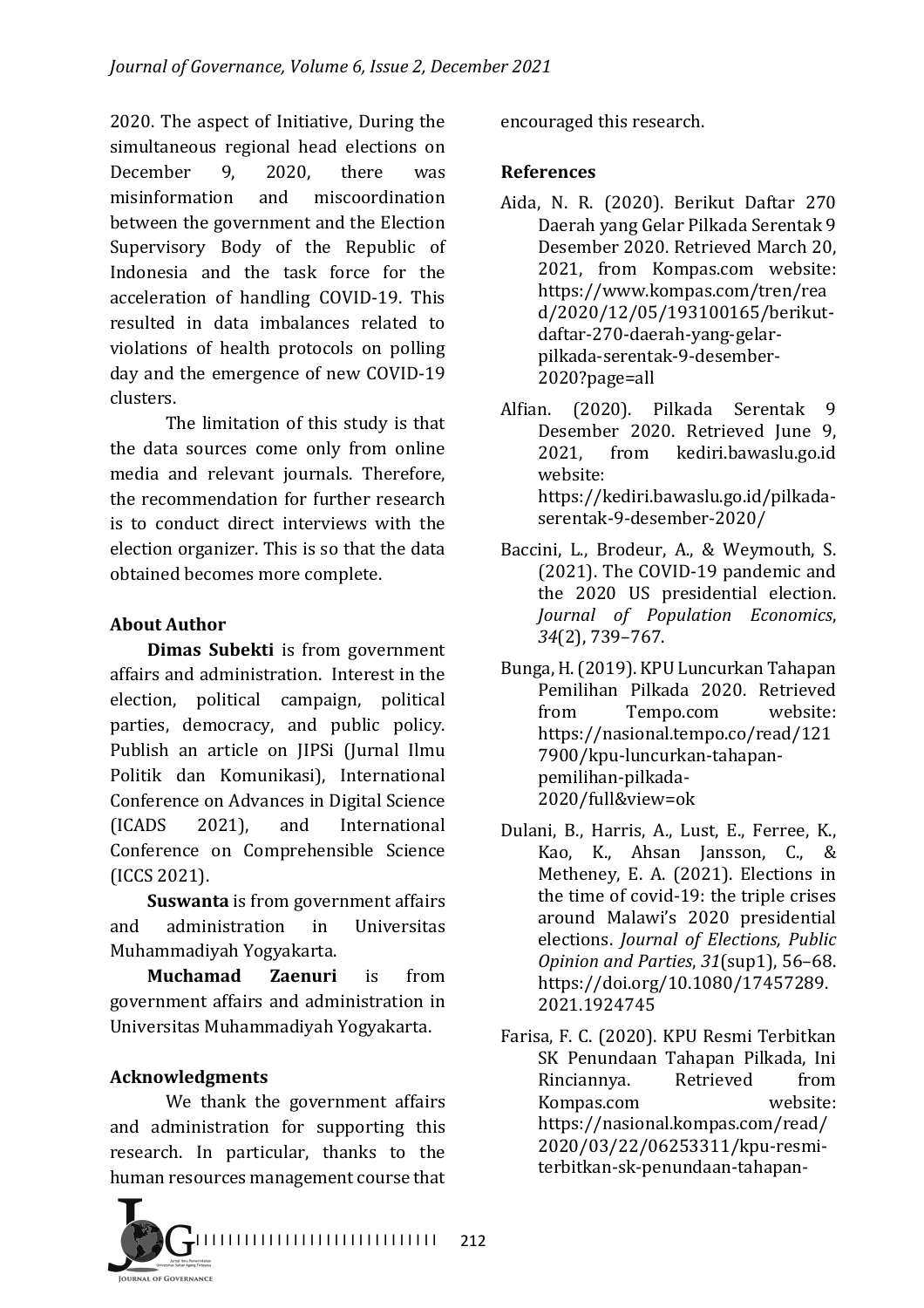2020. The aspect of Initiative, During the simultaneous regional head elections on December 9, 2020, there was misinformation and miscoordination between the government and the Election Supervisory Body of the Republic of Indonesia and the task force for the acceleration of handling COVID-19. This resulted in data imbalances related to violations of health protocols on polling day and the emergence of new COVID-19 clusters.

The limitation of this study is that the data sources come only from online media and relevant journals. Therefore, the recommendation for further research is to conduct direct interviews with the election organizer. This is so that the data obtained becomes more complete.

## **About Author**

**Dimas Subekti** is from government affairs and administration. Interest in the election, political campaign, political parties, democracy, and public policy. Publish an article on JIPSi (Jurnal Ilmu Politik dan Komunikasi), International Conference on Advances in Digital Science (ICADS 2021), and International Conference on Comprehensible Science (ICCS 2021). 

**Suswanta** is from government affairs and administration in Universitas Muhammadiyah Yogyakarta.

**Muchamad Zaenuri** is from government affairs and administration in Universitas Muhammadiyah Yogyakarta.

### **Acknowledgments**

We thank the government affairs and administration for supporting this research. In particular, thanks to the human resources management course that



encouraged this research.

### **References**

Aida, N. R. (2020). Berikut Daftar 270 Daerah yang Gelar Pilkada Serentak 9 Desember 2020. Retrieved March 20, 2021, from Kompas.com website: https://www.kompas.com/tren/rea d/2020/12/05/193100165/berikutdaftar-270-daerah-yang-gelarpilkada-serentak-9-desember-2020?page=all

Alfian. (2020). Pilkada Serentak 9 Desember 2020. Retrieved June 9. 2021, from kediri.bawaslu.go.id website: https://kediri.bawaslu.go.id/pilkadaserentak-9-desember-2020/

- Baccini, L., Brodeur, A., & Weymouth, S. (2021). The COVID-19 pandemic and the 2020 US presidential election. *Journal of Population Economics*, *34*(2), 739–767.
- Bunga, H. (2019). KPU Luncurkan Tahapan Pemilihan Pilkada 2020. Retrieved from Tempo.com website: https://nasional.tempo.co/read/121 7900/kpu-luncurkan-tahapanpemilihan-pilkada-2020/full&view=ok
- Dulani, B., Harris, A., Lust, E., Ferree, K., Kao, K., Ahsan Jansson, C., & Metheney, E. A. (2021). Elections in the time of covid-19: the triple crises around Malawi's 2020 presidential elections. *Journal of Elections*, *Public Opinion and Parties*, *31*(sup1), 56–68. https://doi.org/10.1080/17457289. 2021.1924745
- Farisa, F. C. (2020). KPU Resmi Terbitkan SK Penundaan Tahapan Pilkada, Ini Rinciannya. Retrieved from Kompas.com website: https://nasional.kompas.com/read/ 2020/03/22/06253311/kpu-resmiterbitkan-sk-penundaan-tahapan-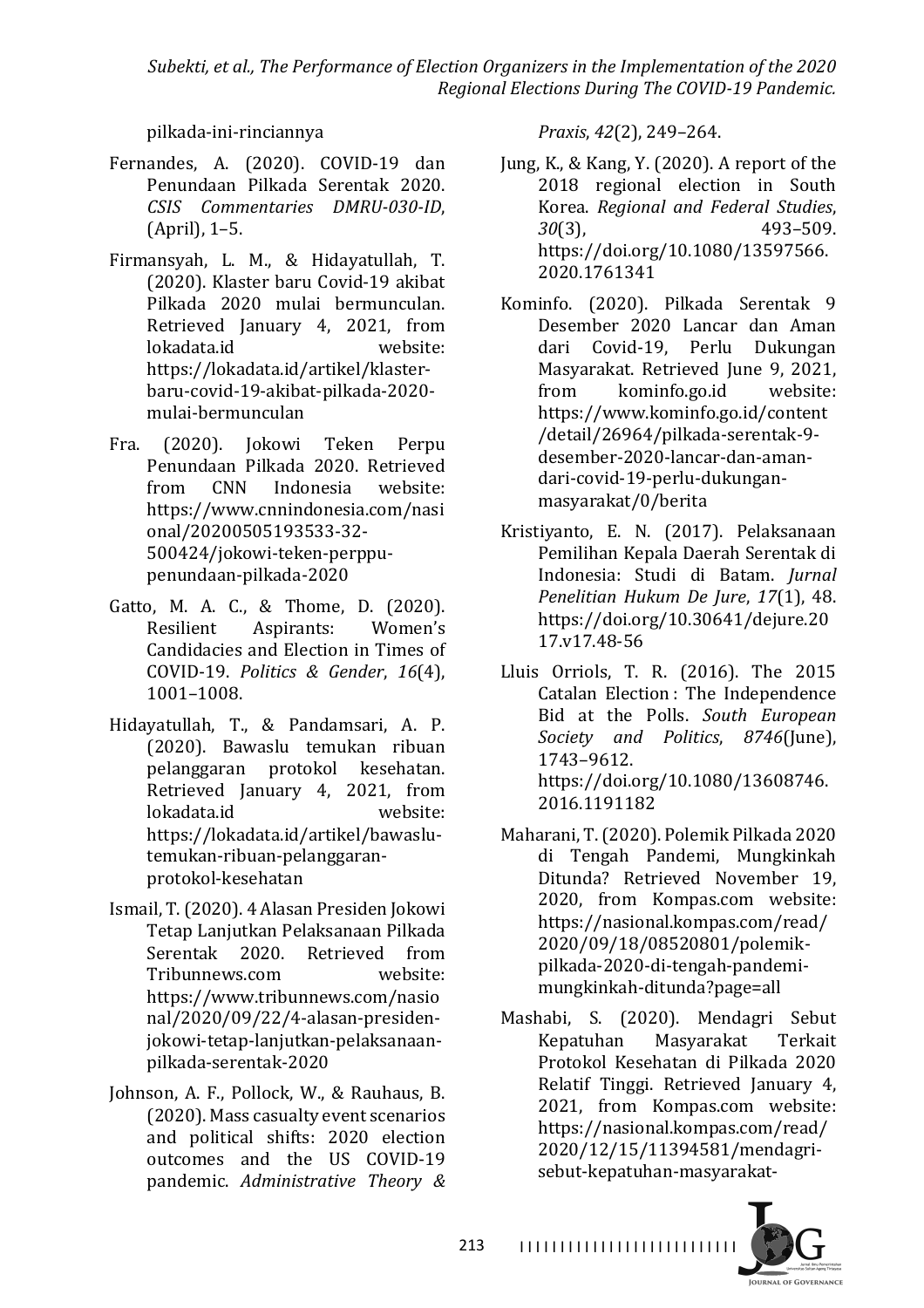*Subekti, et al., The Performance of Election Organizers in the Implementation of the 2020 Regional Elections During The COVID-19 Pandemic.*

pilkada-ini-rinciannya

- Fernandes, A. (2020). COVID-19 dan Penundaan Pilkada Serentak 2020. *CSIS Commentaries DMRU-030-ID*,  $(April)$ , 1–5.
- Firmansyah, L. M., & Hidayatullah, T. (2020). Klaster baru Covid-19 akibat Pilkada 2020 mulai bermunculan. Retrieved January 4, 2021, from lokadata.id website: https://lokadata.id/artikel/klasterbaru-covid-19-akibat-pilkada-2020 mulai-bermunculan
- Fra. (2020). Jokowi Teken Perpu Penundaan Pilkada 2020. Retrieved from CNN Indonesia website: https://www.cnnindonesia.com/nasi onal/20200505193533-32- 500424/jokowi-teken-perppupenundaan-pilkada-2020
- Gatto, M. A. C., & Thome, D. (2020). Resilient Aspirants: Women's Candidacies and Election in Times of COVID-19. *Politics & Gender*, *16*(4), 1001–1008.
- Hidayatullah, T., & Pandamsari, A. P. (2020). Bawaslu temukan ribuan pelanggaran protokol kesehatan. Retrieved January 4, 2021, from lokadata.id website: https://lokadata.id/artikel/bawaslutemukan-ribuan-pelanggaranprotokol-kesehatan
- Ismail, T. (2020). 4 Alasan Presiden Jokowi Tetap Lanjutkan Pelaksanaan Pilkada Serentak 2020. Retrieved from Tribunnews.com website: https://www.tribunnews.com/nasio nal/2020/09/22/4-alasan-presidenjokowi-tetap-lanjutkan-pelaksanaanpilkada-serentak-2020
- Johnson, A. F., Pollock, W., & Rauhaus, B. (2020). Mass casualty event scenarios and political shifts: 2020 election outcomes and the US COVID-19 pandemic. *Administrative Theory &*

*Praxis*, *42*(2), 249–264.

- Jung, K., & Kang, Y.  $(2020)$ . A report of the 2018 regional election in South Korea. *Regional and Federal Studies*, *30*(3), 493–509. https://doi.org/10.1080/13597566. 2020.1761341
- Kominfo. (2020). Pilkada Serentak 9 Desember 2020 Lancar dan Aman dari Covid-19, Perlu Dukungan Masyarakat. Retrieved June 9, 2021. from kominfo.go.id website: https://www.kominfo.go.id/content /detail/26964/pilkada-serentak-9 desember-2020-lancar-dan-amandari-covid-19-perlu-dukunganmasyarakat/0/berita
- Kristiyanto, E. N. (2017). Pelaksanaan Pemilihan Kepala Daerah Serentak di Indonesia: Studi di Batam. *Jurnal Penelitian Hukum De Jure*, *17*(1), 48. https://doi.org/10.30641/dejure.20 17.v17.48-56
- Lluis Orriols, T. R. (2016). The 2015 Catalan Election : The Independence Bid at the Polls. *South European Society and Politics*, *8746*(June), 1743–9612. https://doi.org/10.1080/13608746. 2016.1191182
- Maharani, T. (2020). Polemik Pilkada 2020 di Tengah Pandemi, Mungkinkah Ditunda? Retrieved November 19, 2020, from Kompas.com website: https://nasional.kompas.com/read/ 2020/09/18/08520801/polemikpilkada-2020-di-tengah-pandemimungkinkah-ditunda?page=all
- Mashabi, S. (2020). Mendagri Sebut Kepatuhan Masyarakat Terkait Protokol Kesehatan di Pilkada 2020 Relatif Tinggi. Retrieved January 4, 2021, from Kompas.com website: https://nasional.kompas.com/read/ 2020/12/15/11394581/mendagrisebut-kepatuhan-masyarakat-

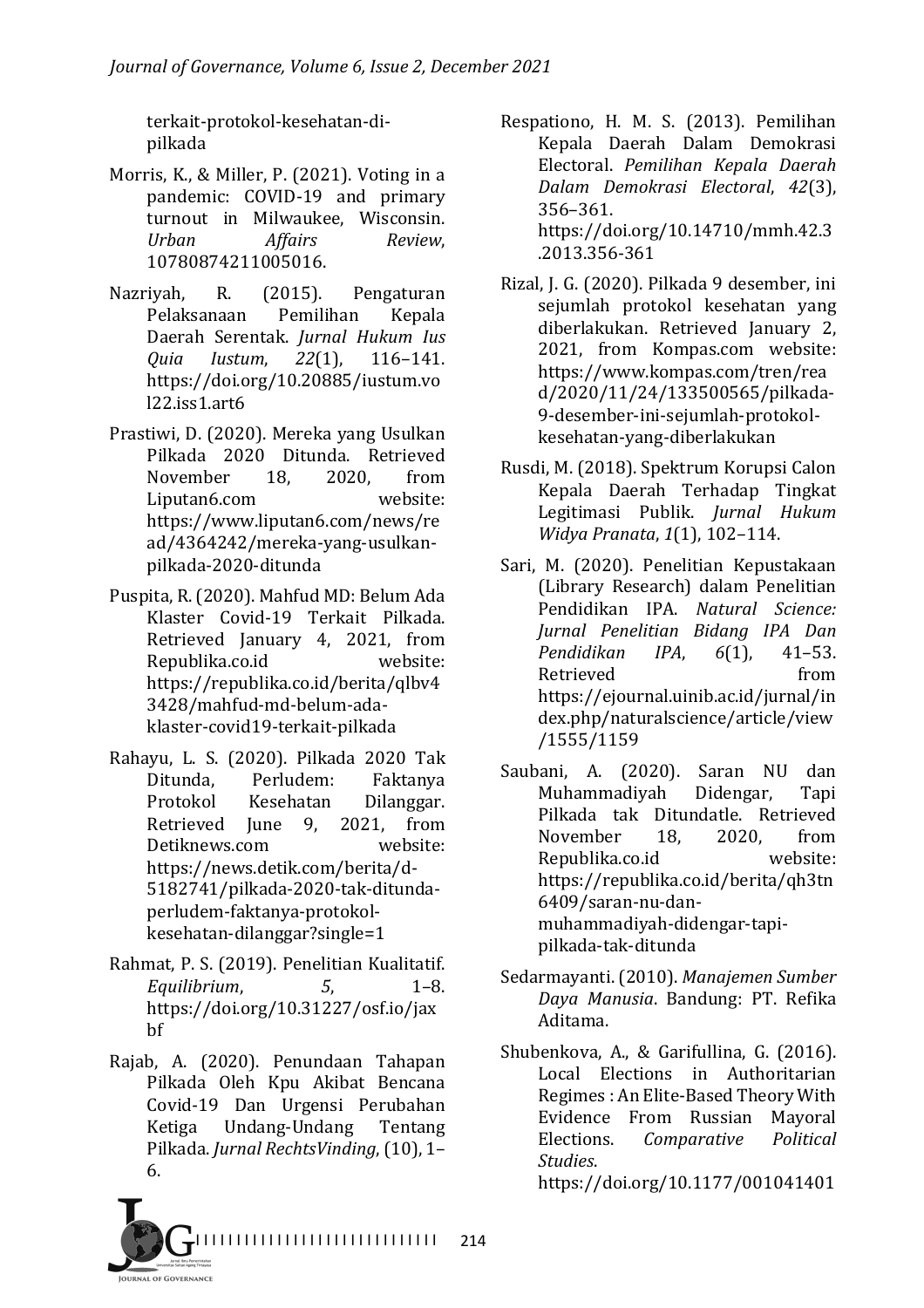terkait-protokol-kesehatan-dipilkada

- Morris, K., & Miller, P. (2021). Voting in a pandemic: COVID-19 and primary turnout in Milwaukee. Wisconsin. *Urban Affairs Review*, 10780874211005016.
- Nazriyah, R. (2015). Pengaturan Pelaksanaan Pemilihan Kepala Daerah Serentak. *Jurnal Hukum Ius Quia Iustum*, *22*(1), 116–141. https://doi.org/10.20885/iustum.vo l22.iss1.art6
- Prastiwi, D. (2020). Mereka yang Usulkan Pilkada 2020 Ditunda. Retrieved November 18, 2020, from Liputan6.com website: https://www.liputan6.com/news/re ad/4364242/mereka-yang-usulkanpilkada-2020-ditunda
- Puspita, R. (2020). Mahfud MD: Belum Ada Klaster Covid-19 Terkait Pilkada. Retrieved January 4, 2021, from Republika.co.id website: https://republika.co.id/berita/qlbv4 3428/mahfud-md-belum-adaklaster-covid19-terkait-pilkada
- Rahayu, L. S. (2020). Pilkada 2020 Tak Ditunda, Perludem: Faktanya Protokol Kesehatan Dilanggar. Retrieved June 9, 2021, from Detiknews.com website: https://news.detik.com/berita/d-5182741/pilkada-2020-tak-ditundaperludem-faktanya-protokolkesehatan-dilanggar?single=1
- Rahmat, P. S. (2019). Penelitian Kualitatif. *Equilibrium*, *5*, 1–8. https://doi.org/10.31227/osf.io/jax bf
- Rajab, A. (2020). Penundaan Tahapan Pilkada Oleh Kpu Akibat Bencana Covid-19 Dan Urgensi Perubahan Ketiga Undang-Undang Tentang Pilkada. *Jurnal RechtsVinding*, (10), 1-6.
- Respationo, H. M. S. (2013). Pemilihan Kepala Daerah Dalam Demokrasi Electoral. *Pemilihan Kepala Daerah Dalam Demokrasi Electoral*, *42*(3), 356–361. https://doi.org/10.14710/mmh.42.3 .2013.356-361
- Rizal, J. G. (2020). Pilkada 9 desember, ini sejumlah protokol kesehatan yang diberlakukan. Retrieved January 2, 2021, from Kompas.com website: https://www.kompas.com/tren/rea d/2020/11/24/133500565/pilkada-9-desember-ini-sejumlah-protokolkesehatan-yang-diberlakukan
- Rusdi, M. (2018). Spektrum Korupsi Calon Kepala Daerah Terhadap Tingkat Legitimasi Publik. *Jurnal Hukum Widya Pranata,* 1(1), 102-114.
- Sari, M. (2020). Penelitian Kepustakaan (Library Research) dalam Penelitian Pendidikan IPA. *Natural Science: Jurnal Penelitian Bidang IPA Dan Pendidikan IPA*, *6*(1), 41–53. Retrieved from https://ejournal.uinib.ac.id/jurnal/in dex.php/naturalscience/article/view /1555/1159
- Saubani, A. (2020). Saran NU dan Muhammadiyah Didengar, Tapi Pilkada tak Ditundatle. Retrieved November 18, 2020, from Republika.co.id website: https://republika.co.id/berita/qh3tn 6409/saran-nu-danmuhammadiyah-didengar-tapipilkada-tak-ditunda
- Sedarmayanti. (2010). Manajemen Sumber *Daya Manusia*. Bandung: PT. Refika Aditama.
- Shubenkova, A., & Garifullina, G. (2016). Local Elections in Authoritarian Regimes : An Elite-Based Theory With Evidence From Russian Mayoral Elections. *Comparative* Political *Studies*. https://doi.org/10.1177/001041401